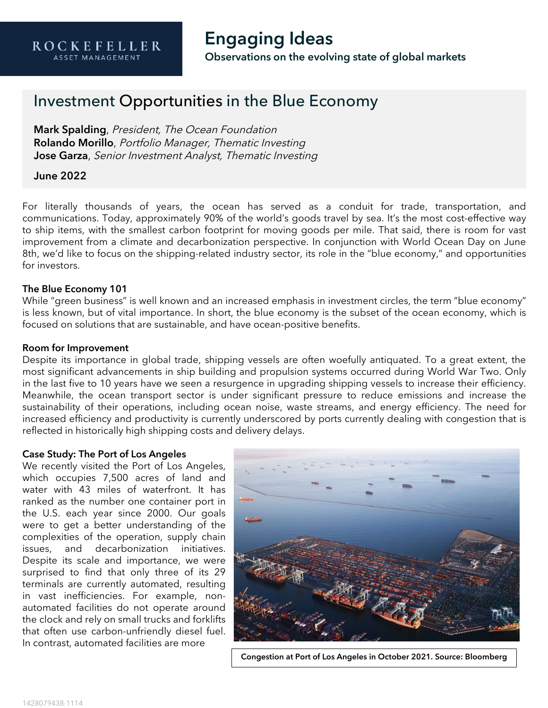## **Engaging Ideas Observations on the evolving state of global markets**

# Investment Opportunities in the Blue Economy

Mark Spalding, President, The Ocean Foundation Rolando Morillo, Portfolio Manager, Thematic Investing Jose Garza, Senior Investment Analyst, Thematic Investing

### June 2022

For literally thousands of years, the ocean has served as a conduit for trade, transportation, and communications. Today, approximately 90% of the world's goods travel by sea. It's the most cost-effective way to ship items, with the smallest carbon footprint for moving goods per mile. That said, there is room for vast improvement from a climate and decarbonization perspective. In conjunction with World Ocean Day on June 8th, we'd like to focus on the shipping-related industry sector, its role in the "blue economy," and opportunities for investors.

### The Blue Economy 101

While "green business" is well known and an increased emphasis in investment circles, the term "blue economy" is less known, but of vital importance. In short, the blue economy is the subset of the ocean economy, which is focused on solutions that are sustainable, and have ocean-positive benefits.

#### Room for Improvement

Despite its importance in global trade, shipping vessels are often woefully antiquated. To a great extent, the most significant advancements in ship building and propulsion systems occurred during World War Two. Only in the last five to 10 years have we seen a resurgence in upgrading shipping vessels to increase their efficiency. Meanwhile, the ocean transport sector is under significant pressure to reduce emissions and increase the sustainability of their operations, including ocean noise, waste streams, and energy efficiency. The need for increased efficiency and productivity is currently underscored by ports currently dealing with congestion that is reflected in historically high shipping costs and delivery delays.

### Case Study: The Port of Los Angeles

We recently visited the Port of Los Angeles, which occupies 7,500 acres of land and water with 43 miles of waterfront. It has ranked as the number one container port in the U.S. each year since 2000. Our goals were to get a better understanding of the complexities of the operation, supply chain issues, and decarbonization initiatives. Despite its scale and importance, we were surprised to find that only three of its 29 terminals are currently automated, resulting in vast inefficiencies. For example, nonautomated facilities do not operate around the clock and rely on small trucks and forklifts that often use carbon-unfriendly diesel fuel. In contrast, automated facilities are more



Congestion at Port of Los Angeles in October 2021. Source: Bloomberg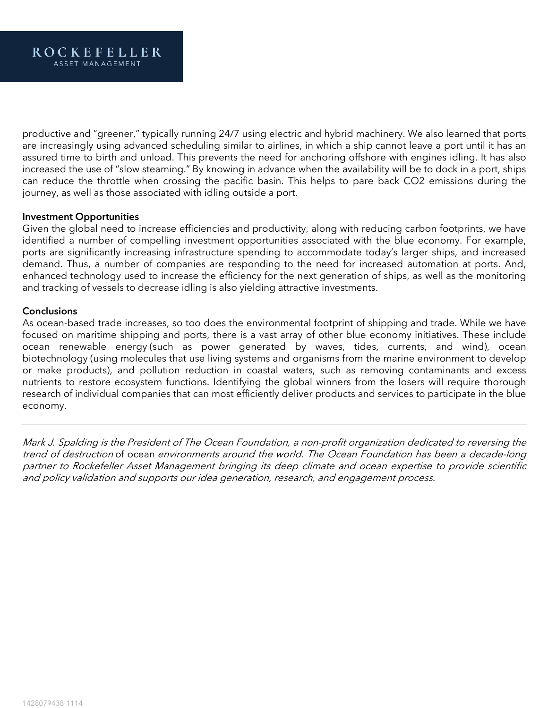productive and "greener," typically running 24/7 using electric and hybrid machinery. We also learned that ports are increasingly using advanced scheduling similar to airlines, in which a ship cannot leave a port until it has an assured time to birth and unload. This prevents the need for anchoring offshore with engines idling. It has also increased the use of "slow steaming." By knowing in advance when the availability will be to dock in a port, ships can reduce the throttle when crossing the pacific basin. This helps to pare back CO2 emissions during the journey, as well as those associated with idling outside a port.

### Investment Opportunities

Given the global need to increase efficiencies and productivity, along with reducing carbon footprints, we have identified a number of compelling investment opportunities associated with the blue economy. For example, ports are significantly increasing infrastructure spending to accommodate today's larger ships, and increased demand. Thus, a number of companies are responding to the need for increased automation at ports. And, enhanced technology used to increase the efficiency for the next generation of ships, as well as the monitoring and tracking of vessels to decrease idling is also yielding attractive investments.

#### **Conclusions**

As ocean-based trade increases, so too does the environmental footprint of shipping and trade. While we have focused on maritime shipping and ports, there is a vast array of other blue economy initiatives. These include ocean renewable energy (such as power generated by waves, tides, currents, and wind), ocean biotechnology (using molecules that use living systems and organisms from the marine environment to develop or make products), and pollution reduction in coastal waters, such as removing contaminants and excess nutrients to restore ecosystem functions. Identifying the global winners from the losers will require thorough research of individual companies that can most efficiently deliver products and services to participate in the blue economy.

Mark J. Spalding is the President of The Ocean Foundation, a non-profit organization dedicated to reversing the trend of destruction of ocean environments around the world. The Ocean Foundation has been a decade-long partner to Rockefeller Asset Management bringing its deep climate and ocean expertise to provide scientific and policy validation and supports our idea generation, research, and engagement process.